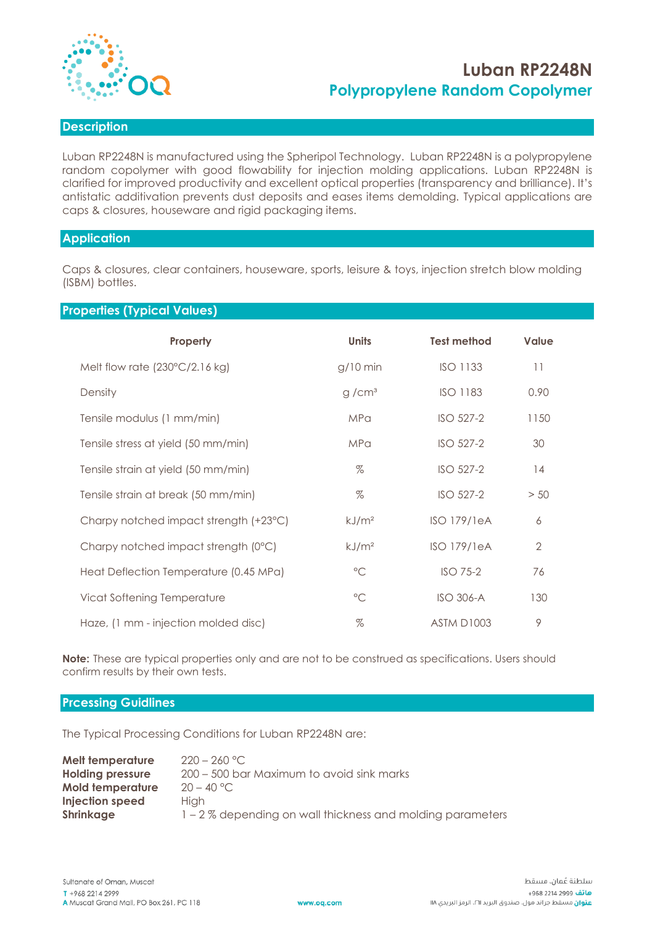

# **Luban RP2248N Polypropylene Random Copolymer**

## **Description**

Luban RP2248N is manufactured using the Spheripol Technology. Luban RP2248N is a polypropylene random copolymer with good flowability for injection molding applications. Luban RP2248N is clarified for improved productivity and excellent optical properties (transparency and brilliance). It's antistatic additivation prevents dust deposits and eases items demolding. Typical applications are caps & closures, houseware and rigid packaging items.

### **Application**

Caps & closures, clear containers, houseware, sports, leisure & toys, injection stretch blow molding (ISBM) bottles.

## **Properties (Typical Values)**

| Property                                | <b>Units</b>      | <b>Test method</b> | <b>Value</b>   |
|-----------------------------------------|-------------------|--------------------|----------------|
| Melt flow rate $(230^{\circ}C/2.16$ kg) | $g/10$ min        | <b>ISO 1133</b>    | 11             |
| Density                                 | g/cm <sup>3</sup> | <b>ISO 1183</b>    | 0.90           |
| Tensile modulus (1 mm/min)              | <b>MPa</b>        | ISO 527-2          | 1150           |
| Tensile stress at yield (50 mm/min)     | <b>MPa</b>        | ISO 527-2          | 30             |
| Tensile strain at yield (50 mm/min)     | $\%$              | ISO 527-2          | 14             |
| Tensile strain at break (50 mm/min)     | $\%$              | ISO 527-2          | > 50           |
| Charpy notched impact strength (+23°C)  | kJ/m <sup>2</sup> | <b>ISO 179/1eA</b> | 6              |
| Charpy notched impact strength (0°C)    | kJ/m <sup>2</sup> | <b>ISO 179/1eA</b> | $\overline{2}$ |
| Heat Deflection Temperature (0.45 MPa)  | $^{\circ}$ C      | <b>ISO 75-2</b>    | 76             |
| Vicat Softening Temperature             | $\circ$ C         | <b>ISO 306-A</b>   | 130            |
| Haze, (1 mm - injection molded disc)    | $\%$              | <b>ASTM D1003</b>  | 9              |

**Note:** These are typical properties only and are not to be construed as specifications. Users should confirm results by their own tests.

#### **Prcessing Guidlines**

The Typical Processing Conditions for Luban RP2248N are:

| Melt temperature<br><b>Holding pressure</b> | $220 - 260$ °C.<br>200 - 500 bar Maximum to avoid sink marks |
|---------------------------------------------|--------------------------------------------------------------|
| <b>Mold temperature</b>                     | $20 - 40 °C$                                                 |
| Injection speed                             | Hiah                                                         |
| <b>Shrinkage</b>                            | 1 – 2 % depending on wall thickness and molding parameters   |